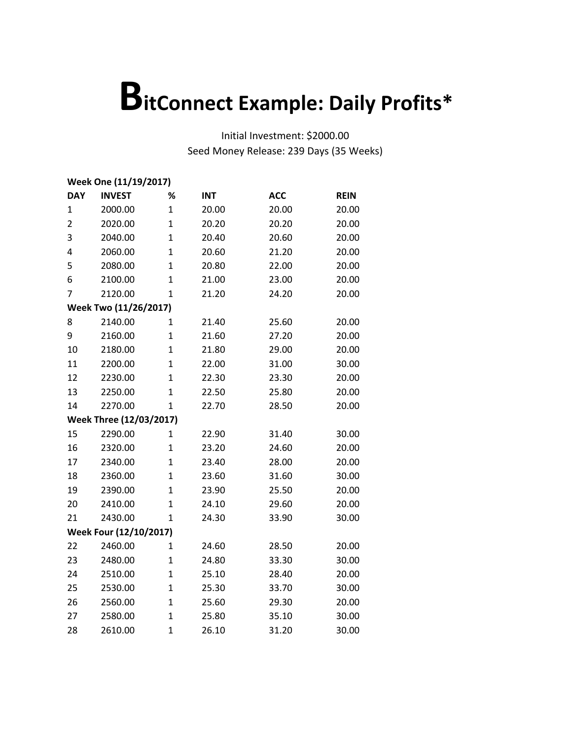| Week One (11/19/2017) |                         |                |            |            |             |  |  |
|-----------------------|-------------------------|----------------|------------|------------|-------------|--|--|
| <b>DAY</b>            | <b>INVEST</b>           | %              | <b>INT</b> | <b>ACC</b> | <b>REIN</b> |  |  |
| 1                     | 2000.00                 | $\overline{1}$ | 20.00      | 20.00      | 20.00       |  |  |
| $\overline{2}$        | 2020.00                 | $\mathbf{1}$   | 20.20      | 20.20      | 20.00       |  |  |
| 3                     | 2040.00                 | $\overline{1}$ | 20.40      | 20.60      | 20.00       |  |  |
| 4                     | 2060.00                 | $\mathbf{1}$   | 20.60      | 21.20      | 20.00       |  |  |
| 5                     | 2080.00                 | $\overline{1}$ | 20.80      | 22.00      | 20.00       |  |  |
| 6                     | 2100.00                 | $\mathbf 1$    | 21.00      | 23.00      | 20.00       |  |  |
| 7                     | 2120.00                 | $\overline{1}$ | 21.20      | 24.20      | 20.00       |  |  |
|                       | Week Two (11/26/2017)   |                |            |            |             |  |  |
| 8                     | 2140.00                 | 1              | 21.40      | 25.60      | 20.00       |  |  |
| 9                     | 2160.00                 | $\overline{1}$ | 21.60      | 27.20      | 20.00       |  |  |
| 10                    | 2180.00                 | $\mathbf{1}$   | 21.80      | 29.00      | 20.00       |  |  |
| 11                    | 2200.00                 | $\overline{1}$ | 22.00      | 31.00      | 30.00       |  |  |
| 12                    | 2230.00                 | $\overline{1}$ | 22.30      | 23.30      | 20.00       |  |  |
| 13                    | 2250.00                 | $\overline{1}$ | 22.50      | 25.80      | 20.00       |  |  |
| 14                    | 2270.00                 | $\mathbf{1}$   | 22.70      | 28.50      | 20.00       |  |  |
|                       | Week Three (12/03/2017) |                |            |            |             |  |  |
| 15                    | 2290.00                 | $\mathbf{1}$   | 22.90      | 31.40      | 30.00       |  |  |
| 16                    | 2320.00                 | $\mathbf{1}$   | 23.20      | 24.60      | 20.00       |  |  |
| 17                    | 2340.00                 | $\overline{1}$ | 23.40      | 28.00      | 20.00       |  |  |
| 18                    | 2360.00                 | $\overline{1}$ | 23.60      | 31.60      | 30.00       |  |  |
| 19                    | 2390.00                 | $\overline{1}$ | 23.90      | 25.50      | 20.00       |  |  |
| 20                    | 2410.00                 | $\mathbf{1}$   | 24.10      | 29.60      | 20.00       |  |  |
| 21                    | 2430.00                 | $\mathbf{1}$   | 24.30      | 33.90      | 30.00       |  |  |
|                       | Week Four (12/10/2017)  |                |            |            |             |  |  |
| 22                    | 2460.00                 | $\mathbf{1}$   | 24.60      | 28.50      | 20.00       |  |  |
| 23                    | 2480.00                 | $\mathbf 1$    | 24.80      | 33.30      | 30.00       |  |  |
| 24                    | 2510.00                 | $\overline{1}$ | 25.10      | 28.40      | 20.00       |  |  |
| 25                    | 2530.00                 | $\overline{1}$ | 25.30      | 33.70      | 30.00       |  |  |
| 26                    | 2560.00                 | $\mathbf{1}$   | 25.60      | 29.30      | 20.00       |  |  |
| 27                    | 2580.00                 | $\mathbf{1}$   | 25.80      | 35.10      | 30.00       |  |  |
| 28                    | 2610.00                 | $\mathbf{1}$   | 26.10      | 31.20      | 30.00       |  |  |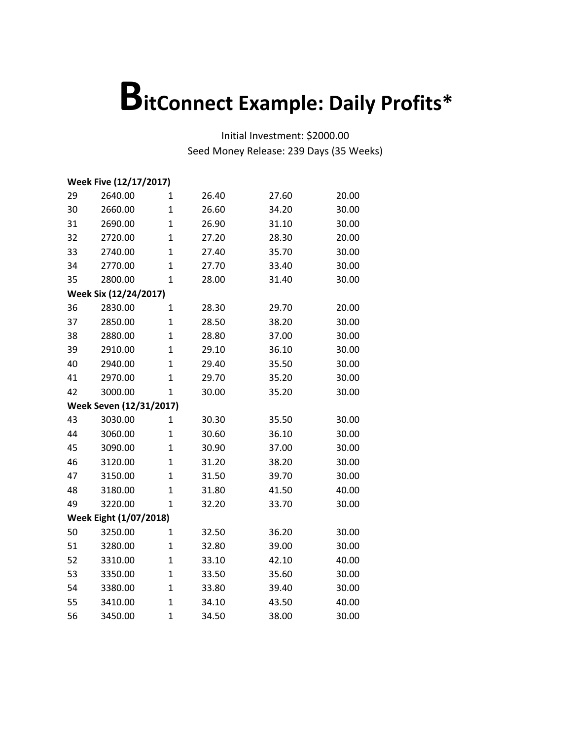|    | Week Five (12/17/2017)  |                |       |       |       |  |  |
|----|-------------------------|----------------|-------|-------|-------|--|--|
| 29 | 2640.00                 | $\mathbf{1}$   | 26.40 | 27.60 | 20.00 |  |  |
| 30 | 2660.00                 | $\mathbf{1}$   | 26.60 | 34.20 | 30.00 |  |  |
| 31 | 2690.00                 | $\mathbf{1}$   | 26.90 | 31.10 | 30.00 |  |  |
| 32 | 2720.00                 | $\mathbf{1}$   | 27.20 | 28.30 | 20.00 |  |  |
| 33 | 2740.00                 | $\overline{1}$ | 27.40 | 35.70 | 30.00 |  |  |
| 34 | 2770.00                 | $\mathbf{1}$   | 27.70 | 33.40 | 30.00 |  |  |
| 35 | 2800.00                 | $\mathbf{1}$   | 28.00 | 31.40 | 30.00 |  |  |
|    | Week Six (12/24/2017)   |                |       |       |       |  |  |
| 36 | 2830.00                 | $\mathbf 1$    | 28.30 | 29.70 | 20.00 |  |  |
| 37 | 2850.00                 | $\mathbf{1}$   | 28.50 | 38.20 | 30.00 |  |  |
| 38 | 2880.00                 | $\mathbf 1$    | 28.80 | 37.00 | 30.00 |  |  |
| 39 | 2910.00                 | $\mathbf{1}$   | 29.10 | 36.10 | 30.00 |  |  |
| 40 | 2940.00                 | $\mathbf{1}$   | 29.40 | 35.50 | 30.00 |  |  |
| 41 | 2970.00                 | $\overline{1}$ | 29.70 | 35.20 | 30.00 |  |  |
| 42 | 3000.00                 | $\mathbf 1$    | 30.00 | 35.20 | 30.00 |  |  |
|    | Week Seven (12/31/2017) |                |       |       |       |  |  |
| 43 | 3030.00                 | $\mathbf{1}$   | 30.30 | 35.50 | 30.00 |  |  |
| 44 | 3060.00                 | $\mathbf 1$    | 30.60 | 36.10 | 30.00 |  |  |
| 45 | 3090.00                 | $\mathbf{1}$   | 30.90 | 37.00 | 30.00 |  |  |
| 46 | 3120.00                 | $\mathbf{1}$   | 31.20 | 38.20 | 30.00 |  |  |
| 47 | 3150.00                 | $\mathbf{1}$   | 31.50 | 39.70 | 30.00 |  |  |
| 48 | 3180.00                 | $\overline{1}$ | 31.80 | 41.50 | 40.00 |  |  |
| 49 | 3220.00                 | $\mathbf{1}$   | 32.20 | 33.70 | 30.00 |  |  |
|    | Week Eight (1/07/2018)  |                |       |       |       |  |  |
| 50 | 3250.00                 | $\mathbf 1$    | 32.50 | 36.20 | 30.00 |  |  |
| 51 | 3280.00                 | $\mathbf 1$    | 32.80 | 39.00 | 30.00 |  |  |
| 52 | 3310.00                 | $\mathbf{1}$   | 33.10 | 42.10 | 40.00 |  |  |
| 53 | 3350.00                 | $\mathbf{1}$   | 33.50 | 35.60 | 30.00 |  |  |
| 54 | 3380.00                 | $\mathbf{1}$   | 33.80 | 39.40 | 30.00 |  |  |
| 55 | 3410.00                 | $\mathbf{1}$   | 34.10 | 43.50 | 40.00 |  |  |
| 56 | 3450.00                 | $\mathbf{1}$   | 34.50 | 38.00 | 30.00 |  |  |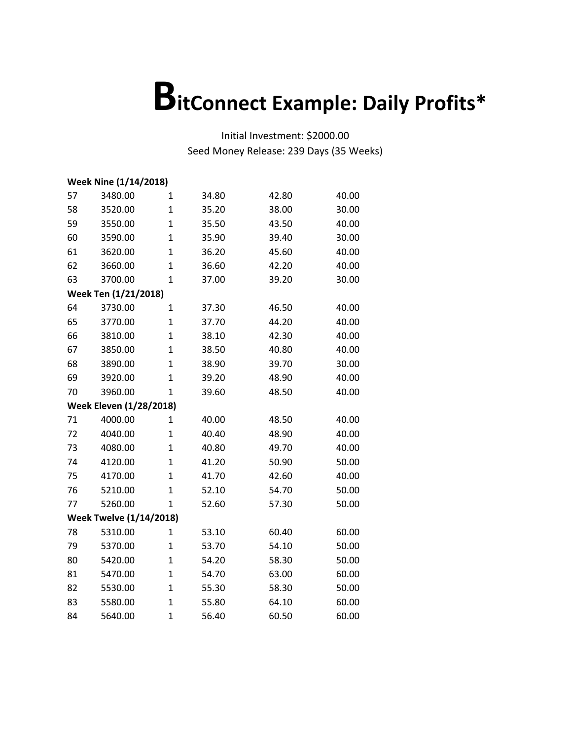|    | <b>Week Nine (1/14/2018)</b>   |                |       |       |       |
|----|--------------------------------|----------------|-------|-------|-------|
| 57 | 3480.00                        | 1              | 34.80 | 42.80 | 40.00 |
| 58 | 3520.00                        | $\mathbf{1}$   | 35.20 | 38.00 | 30.00 |
| 59 | 3550.00                        | $\mathbf{1}$   | 35.50 | 43.50 | 40.00 |
| 60 | 3590.00                        | $\mathbf{1}$   | 35.90 | 39.40 | 30.00 |
| 61 | 3620.00                        | $\overline{1}$ | 36.20 | 45.60 | 40.00 |
| 62 | 3660.00                        | $\mathbf{1}$   | 36.60 | 42.20 | 40.00 |
| 63 | 3700.00                        | $\mathbf{1}$   | 37.00 | 39.20 | 30.00 |
|    | Week Ten (1/21/2018)           |                |       |       |       |
| 64 | 3730.00                        | 1              | 37.30 | 46.50 | 40.00 |
| 65 | 3770.00                        | 1              | 37.70 | 44.20 | 40.00 |
| 66 | 3810.00                        | $\mathbf{1}$   | 38.10 | 42.30 | 40.00 |
| 67 | 3850.00                        | $\mathbf{1}$   | 38.50 | 40.80 | 40.00 |
| 68 | 3890.00                        | $\mathbf{1}$   | 38.90 | 39.70 | 30.00 |
| 69 | 3920.00                        | $\mathbf{1}$   | 39.20 | 48.90 | 40.00 |
| 70 | 3960.00                        | 1              | 39.60 | 48.50 | 40.00 |
|    | <b>Week Eleven (1/28/2018)</b> |                |       |       |       |
| 71 | 4000.00                        | 1              | 40.00 | 48.50 | 40.00 |
| 72 | 4040.00                        | 1              | 40.40 | 48.90 | 40.00 |
| 73 | 4080.00                        | $\overline{1}$ | 40.80 | 49.70 | 40.00 |
| 74 | 4120.00                        | $\mathbf{1}$   | 41.20 | 50.90 | 50.00 |
| 75 | 4170.00                        | $\mathbf{1}$   | 41.70 | 42.60 | 40.00 |
| 76 | 5210.00                        | $\mathbf{1}$   | 52.10 | 54.70 | 50.00 |
| 77 | 5260.00                        | $\mathbf{1}$   | 52.60 | 57.30 | 50.00 |
|    | <b>Week Twelve (1/14/2018)</b> |                |       |       |       |
| 78 | 5310.00                        | $\mathbf{1}$   | 53.10 | 60.40 | 60.00 |
| 79 | 5370.00                        | 1              | 53.70 | 54.10 | 50.00 |
| 80 | 5420.00                        | $\mathbf{1}$   | 54.20 | 58.30 | 50.00 |
| 81 | 5470.00                        | $\overline{1}$ | 54.70 | 63.00 | 60.00 |
| 82 | 5530.00                        | $\mathbf{1}$   | 55.30 | 58.30 | 50.00 |
| 83 | 5580.00                        | $\mathbf{1}$   | 55.80 | 64.10 | 60.00 |
| 84 | 5640.00                        | $\mathbf{1}$   | 56.40 | 60.50 | 60.00 |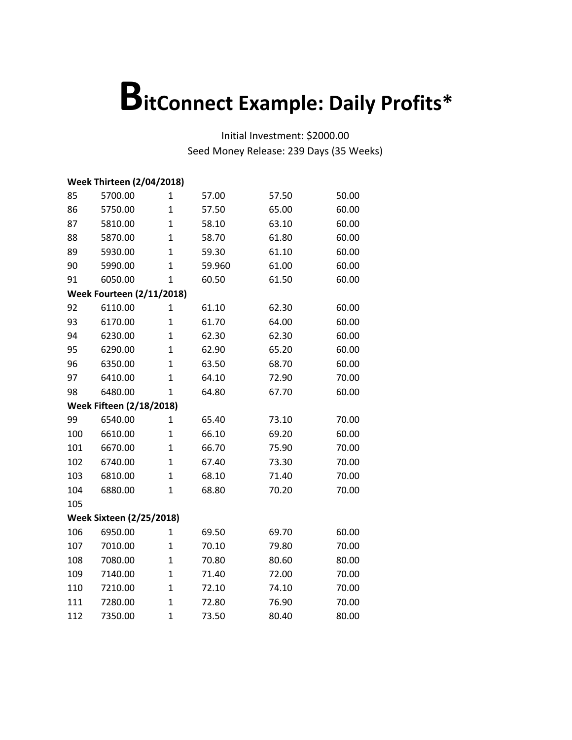|     | <b>Week Thirteen (2/04/2018)</b> |                |        |       |       |  |  |  |
|-----|----------------------------------|----------------|--------|-------|-------|--|--|--|
| 85  | 5700.00                          | 1              | 57.00  | 57.50 | 50.00 |  |  |  |
| 86  | 5750.00                          | $\mathbf{1}$   | 57.50  | 65.00 | 60.00 |  |  |  |
| 87  | 5810.00                          | $\mathbf{1}$   | 58.10  | 63.10 | 60.00 |  |  |  |
| 88  | 5870.00                          | $\overline{1}$ | 58.70  | 61.80 | 60.00 |  |  |  |
| 89  | 5930.00                          | $\mathbf{1}$   | 59.30  | 61.10 | 60.00 |  |  |  |
| 90  | 5990.00                          | $\mathbf 1$    | 59.960 | 61.00 | 60.00 |  |  |  |
| 91  | 6050.00                          | $\mathbf{1}$   | 60.50  | 61.50 | 60.00 |  |  |  |
|     | <b>Week Fourteen (2/11/2018)</b> |                |        |       |       |  |  |  |
| 92  | 6110.00                          | 1              | 61.10  | 62.30 | 60.00 |  |  |  |
| 93  | 6170.00                          | $\mathbf{1}$   | 61.70  | 64.00 | 60.00 |  |  |  |
| 94  | 6230.00                          | $\mathbf{1}$   | 62.30  | 62.30 | 60.00 |  |  |  |
| 95  | 6290.00                          | $\mathbf 1$    | 62.90  | 65.20 | 60.00 |  |  |  |
| 96  | 6350.00                          | $\mathbf{1}$   | 63.50  | 68.70 | 60.00 |  |  |  |
| 97  | 6410.00                          | $\mathbf{1}$   | 64.10  | 72.90 | 70.00 |  |  |  |
| 98  | 6480.00                          | $\mathbf{1}$   | 64.80  | 67.70 | 60.00 |  |  |  |
|     | <b>Week Fifteen (2/18/2018)</b>  |                |        |       |       |  |  |  |
| 99  | 6540.00                          | 1              | 65.40  | 73.10 | 70.00 |  |  |  |
| 100 | 6610.00                          | 1              | 66.10  | 69.20 | 60.00 |  |  |  |
| 101 | 6670.00                          | $\mathbf{1}$   | 66.70  | 75.90 | 70.00 |  |  |  |
| 102 | 6740.00                          | $\mathbf{1}$   | 67.40  | 73.30 | 70.00 |  |  |  |
| 103 | 6810.00                          | $\mathbf{1}$   | 68.10  | 71.40 | 70.00 |  |  |  |
| 104 | 6880.00                          | $\mathbf{1}$   | 68.80  | 70.20 | 70.00 |  |  |  |
| 105 |                                  |                |        |       |       |  |  |  |
|     | <b>Week Sixteen (2/25/2018)</b>  |                |        |       |       |  |  |  |
| 106 | 6950.00                          | $\mathbf{1}$   | 69.50  | 69.70 | 60.00 |  |  |  |
| 107 | 7010.00                          | $\mathbf{1}$   | 70.10  | 79.80 | 70.00 |  |  |  |
| 108 | 7080.00                          | $\mathbf{1}$   | 70.80  | 80.60 | 80.00 |  |  |  |
| 109 | 7140.00                          | $\mathbf{1}$   | 71.40  | 72.00 | 70.00 |  |  |  |
| 110 | 7210.00                          | $\mathbf 1$    | 72.10  | 74.10 | 70.00 |  |  |  |
| 111 | 7280.00                          | $\mathbf{1}$   | 72.80  | 76.90 | 70.00 |  |  |  |
|     |                                  |                |        |       |       |  |  |  |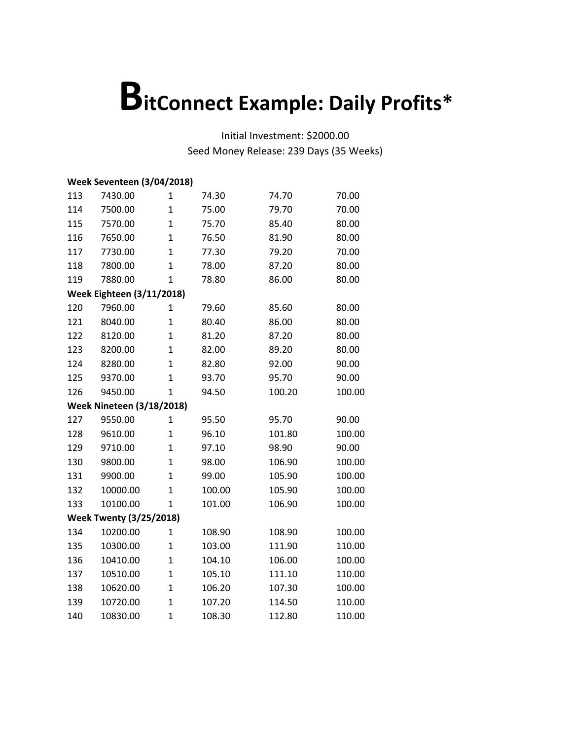|     | <b>Week Seventeen (3/04/2018)</b> |                |        |        |        |
|-----|-----------------------------------|----------------|--------|--------|--------|
| 113 | 7430.00                           | 1              | 74.30  | 74.70  | 70.00  |
| 114 | 7500.00                           | $\mathbf{1}$   | 75.00  | 79.70  | 70.00  |
| 115 | 7570.00                           | $\mathbf{1}$   | 75.70  | 85.40  | 80.00  |
| 116 | 7650.00                           | $\overline{1}$ | 76.50  | 81.90  | 80.00  |
| 117 | 7730.00                           | $\overline{1}$ | 77.30  | 79.20  | 70.00  |
| 118 | 7800.00                           | $\mathbf{1}$   | 78.00  | 87.20  | 80.00  |
| 119 | 7880.00                           | $\mathbf{1}$   | 78.80  | 86.00  | 80.00  |
|     | <b>Week Eighteen (3/11/2018)</b>  |                |        |        |        |
| 120 | 7960.00                           | 1              | 79.60  | 85.60  | 80.00  |
| 121 | 8040.00                           | $\overline{1}$ | 80.40  | 86.00  | 80.00  |
| 122 | 8120.00                           | $\overline{1}$ | 81.20  | 87.20  | 80.00  |
| 123 | 8200.00                           | $\mathbf{1}$   | 82.00  | 89.20  | 80.00  |
| 124 | 8280.00                           | $\mathbf{1}$   | 82.80  | 92.00  | 90.00  |
| 125 | 9370.00                           | $\overline{1}$ | 93.70  | 95.70  | 90.00  |
| 126 | 9450.00                           | $\mathbf{1}$   | 94.50  | 100.20 | 100.00 |
|     | <b>Week Nineteen (3/18/2018)</b>  |                |        |        |        |
| 127 | 9550.00                           | $\mathbf{1}$   | 95.50  | 95.70  | 90.00  |
| 128 | 9610.00                           | $\mathbf{1}$   | 96.10  | 101.80 | 100.00 |
| 129 | 9710.00                           | $\mathbf{1}$   | 97.10  | 98.90  | 90.00  |
| 130 | 9800.00                           | $\mathbf{1}$   | 98.00  | 106.90 | 100.00 |
| 131 | 9900.00                           | $\overline{1}$ | 99.00  | 105.90 | 100.00 |
| 132 | 10000.00                          | $\overline{1}$ | 100.00 | 105.90 | 100.00 |
| 133 | 10100.00                          | 1              | 101.00 | 106.90 | 100.00 |
|     | <b>Week Twenty (3/25/2018)</b>    |                |        |        |        |
| 134 | 10200.00                          | $\mathbf{1}$   | 108.90 | 108.90 | 100.00 |
| 135 | 10300.00                          | $\mathbf{1}$   | 103.00 | 111.90 | 110.00 |
| 136 | 10410.00                          | $\overline{1}$ | 104.10 | 106.00 | 100.00 |
| 137 | 10510.00                          | $\overline{1}$ | 105.10 | 111.10 | 110.00 |
| 138 | 10620.00                          | $\overline{1}$ | 106.20 | 107.30 | 100.00 |
| 139 | 10720.00                          | $\mathbf 1$    | 107.20 | 114.50 | 110.00 |
| 140 | 10830.00                          | $\overline{1}$ | 108.30 | 112.80 | 110.00 |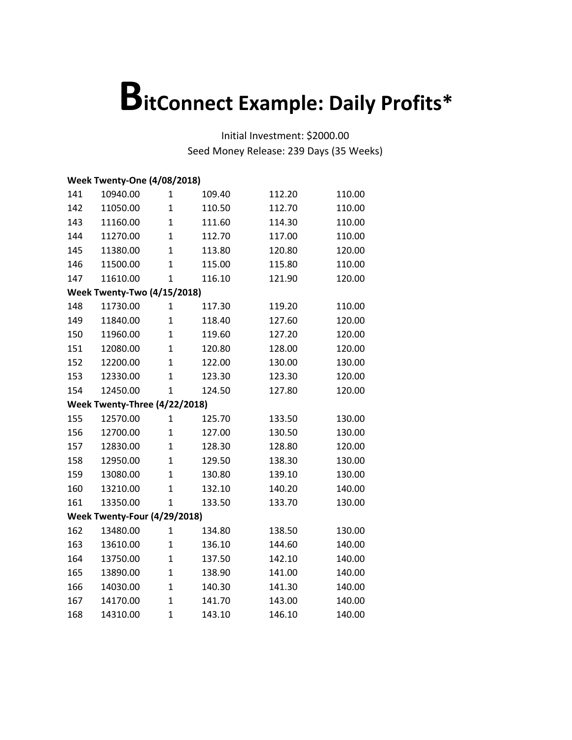|     | <b>Week Twenty-One (4/08/2018)</b> |              |        |        |        |  |  |  |
|-----|------------------------------------|--------------|--------|--------|--------|--|--|--|
| 141 | 10940.00                           | $\mathbf{1}$ | 109.40 | 112.20 | 110.00 |  |  |  |
| 142 | 11050.00                           | $\mathbf{1}$ | 110.50 | 112.70 | 110.00 |  |  |  |
| 143 | 11160.00                           | $\mathbf{1}$ | 111.60 | 114.30 | 110.00 |  |  |  |
| 144 | 11270.00                           | $\mathbf{1}$ | 112.70 | 117.00 | 110.00 |  |  |  |
| 145 | 11380.00                           | $\mathbf{1}$ | 113.80 | 120.80 | 120.00 |  |  |  |
| 146 | 11500.00                           | $\mathbf{1}$ | 115.00 | 115.80 | 110.00 |  |  |  |
| 147 | 11610.00                           | $\mathbf{1}$ | 116.10 | 121.90 | 120.00 |  |  |  |
|     | <b>Week Twenty-Two (4/15/2018)</b> |              |        |        |        |  |  |  |
| 148 | 11730.00                           | $\mathbf{1}$ | 117.30 | 119.20 | 110.00 |  |  |  |
| 149 | 11840.00                           | $\mathbf{1}$ | 118.40 | 127.60 | 120.00 |  |  |  |
| 150 | 11960.00                           | $\mathbf{1}$ | 119.60 | 127.20 | 120.00 |  |  |  |
| 151 | 12080.00                           | $\mathbf{1}$ | 120.80 | 128.00 | 120.00 |  |  |  |
| 152 | 12200.00                           | $\mathbf{1}$ | 122.00 | 130.00 | 130.00 |  |  |  |
| 153 | 12330.00                           | $\mathbf{1}$ | 123.30 | 123.30 | 120.00 |  |  |  |
| 154 | 12450.00                           | $\mathbf{1}$ | 124.50 | 127.80 | 120.00 |  |  |  |
|     | Week Twenty-Three (4/22/2018)      |              |        |        |        |  |  |  |
| 155 | 12570.00                           | $\mathbf{1}$ | 125.70 | 133.50 | 130.00 |  |  |  |
| 156 | 12700.00                           | $\mathbf{1}$ | 127.00 | 130.50 | 130.00 |  |  |  |
| 157 | 12830.00                           | $\mathbf{1}$ | 128.30 | 128.80 | 120.00 |  |  |  |
| 158 | 12950.00                           | $\mathbf{1}$ | 129.50 | 138.30 | 130.00 |  |  |  |
| 159 | 13080.00                           | $\mathbf{1}$ | 130.80 | 139.10 | 130.00 |  |  |  |
| 160 | 13210.00                           | $\mathbf{1}$ | 132.10 | 140.20 | 140.00 |  |  |  |
| 161 | 13350.00                           | $\mathbf{1}$ | 133.50 | 133.70 | 130.00 |  |  |  |
|     | Week Twenty-Four (4/29/2018)       |              |        |        |        |  |  |  |
| 162 | 13480.00                           | $\mathbf{1}$ | 134.80 | 138.50 | 130.00 |  |  |  |
| 163 | 13610.00                           | $\mathbf{1}$ | 136.10 | 144.60 | 140.00 |  |  |  |
| 164 | 13750.00                           | $\mathbf{1}$ | 137.50 | 142.10 | 140.00 |  |  |  |
| 165 | 13890.00                           | $\mathbf{1}$ | 138.90 | 141.00 | 140.00 |  |  |  |
| 166 | 14030.00                           | $\mathbf{1}$ | 140.30 | 141.30 | 140.00 |  |  |  |
| 167 | 14170.00                           | $\mathbf{1}$ | 141.70 | 143.00 | 140.00 |  |  |  |
| 168 | 14310.00                           | $\mathbf{1}$ | 143.10 | 146.10 | 140.00 |  |  |  |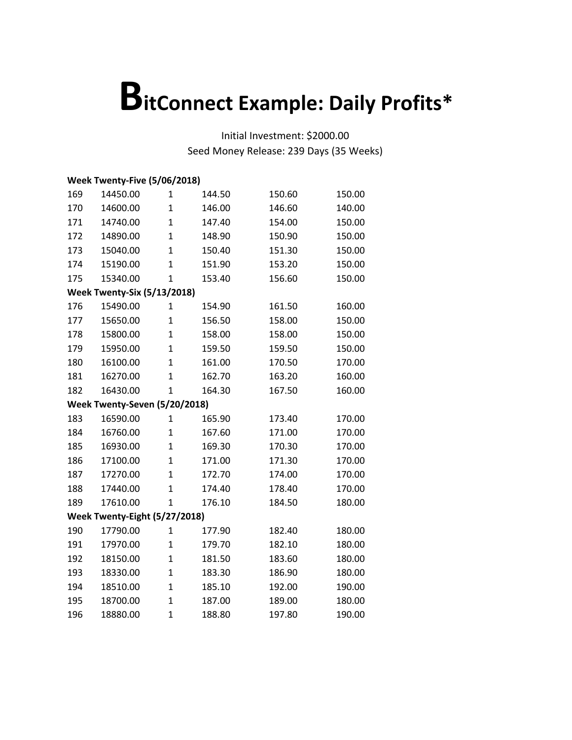|     | Week Twenty-Five (5/06/2018)       |                |        |        |        |  |  |  |
|-----|------------------------------------|----------------|--------|--------|--------|--|--|--|
| 169 | 14450.00                           | $\mathbf{1}$   | 144.50 | 150.60 | 150.00 |  |  |  |
| 170 | 14600.00                           | $\mathbf{1}$   | 146.00 | 146.60 | 140.00 |  |  |  |
| 171 | 14740.00                           | $\mathbf{1}$   | 147.40 | 154.00 | 150.00 |  |  |  |
| 172 | 14890.00                           | $\mathbf{1}$   | 148.90 | 150.90 | 150.00 |  |  |  |
| 173 | 15040.00                           | $\overline{1}$ | 150.40 | 151.30 | 150.00 |  |  |  |
| 174 | 15190.00                           | $\overline{1}$ | 151.90 | 153.20 | 150.00 |  |  |  |
| 175 | 15340.00                           | $\mathbf{1}$   | 153.40 | 156.60 | 150.00 |  |  |  |
|     | <b>Week Twenty-Six (5/13/2018)</b> |                |        |        |        |  |  |  |
| 176 | 15490.00                           | $\mathbf{1}$   | 154.90 | 161.50 | 160.00 |  |  |  |
| 177 | 15650.00                           | $\mathbf{1}$   | 156.50 | 158.00 | 150.00 |  |  |  |
| 178 | 15800.00                           | $\mathbf{1}$   | 158.00 | 158.00 | 150.00 |  |  |  |
| 179 | 15950.00                           | $\mathbf{1}$   | 159.50 | 159.50 | 150.00 |  |  |  |
| 180 | 16100.00                           | $\mathbf{1}$   | 161.00 | 170.50 | 170.00 |  |  |  |
| 181 | 16270.00                           | $\overline{1}$ | 162.70 | 163.20 | 160.00 |  |  |  |
| 182 | 16430.00                           | $\mathbf{1}$   | 164.30 | 167.50 | 160.00 |  |  |  |
|     | Week Twenty-Seven (5/20/2018)      |                |        |        |        |  |  |  |
| 183 | 16590.00                           | $\mathbf{1}$   | 165.90 | 173.40 | 170.00 |  |  |  |
| 184 | 16760.00                           | $\mathbf{1}$   | 167.60 | 171.00 | 170.00 |  |  |  |
| 185 | 16930.00                           | $\mathbf{1}$   | 169.30 | 170.30 | 170.00 |  |  |  |
| 186 | 17100.00                           | $\mathbf{1}$   | 171.00 | 171.30 | 170.00 |  |  |  |
| 187 | 17270.00                           | $\mathbf{1}$   | 172.70 | 174.00 | 170.00 |  |  |  |
| 188 | 17440.00                           | $\mathbf{1}$   | 174.40 | 178.40 | 170.00 |  |  |  |
| 189 | 17610.00                           | $\overline{1}$ | 176.10 | 184.50 | 180.00 |  |  |  |
|     | Week Twenty-Eight (5/27/2018)      |                |        |        |        |  |  |  |
| 190 | 17790.00                           | $\mathbf{1}$   | 177.90 | 182.40 | 180.00 |  |  |  |
| 191 | 17970.00                           | $\mathbf{1}$   | 179.70 | 182.10 | 180.00 |  |  |  |
| 192 | 18150.00                           | $\mathbf{1}$   | 181.50 | 183.60 | 180.00 |  |  |  |
| 193 | 18330.00                           | $\mathbf{1}$   | 183.30 | 186.90 | 180.00 |  |  |  |
| 194 | 18510.00                           | $\mathbf{1}$   | 185.10 | 192.00 | 190.00 |  |  |  |
| 195 | 18700.00                           | $\mathbf{1}$   | 187.00 | 189.00 | 180.00 |  |  |  |
| 196 | 18880.00                           | $\overline{1}$ | 188.80 | 197.80 | 190.00 |  |  |  |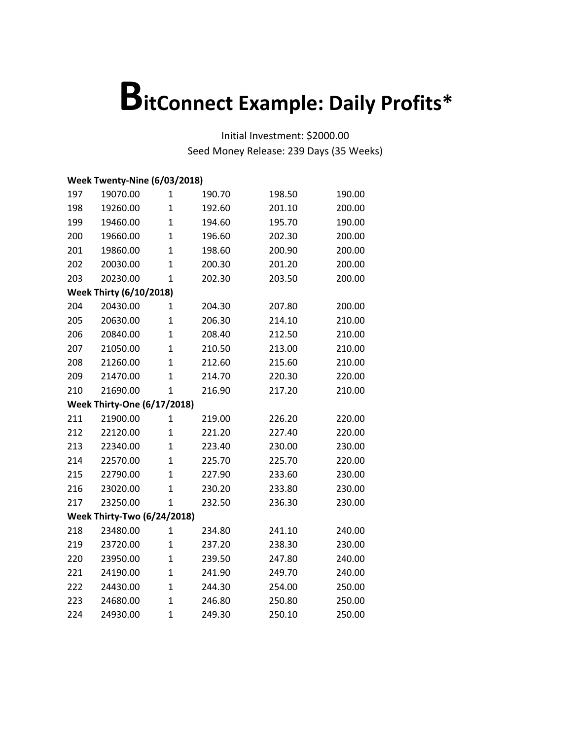|     | Week Twenty-Nine (6/03/2018)       |                |        |        |        |  |  |  |
|-----|------------------------------------|----------------|--------|--------|--------|--|--|--|
| 197 | 19070.00                           | $\mathbf{1}$   | 190.70 | 198.50 | 190.00 |  |  |  |
| 198 | 19260.00                           | $\mathbf{1}$   | 192.60 | 201.10 | 200.00 |  |  |  |
| 199 | 19460.00                           | $\mathbf{1}$   | 194.60 | 195.70 | 190.00 |  |  |  |
| 200 | 19660.00                           | $\mathbf{1}$   | 196.60 | 202.30 | 200.00 |  |  |  |
| 201 | 19860.00                           | $\mathbf{1}$   | 198.60 | 200.90 | 200.00 |  |  |  |
| 202 | 20030.00                           | $\mathbf{1}$   | 200.30 | 201.20 | 200.00 |  |  |  |
| 203 | 20230.00                           | $\mathbf{1}$   | 202.30 | 203.50 | 200.00 |  |  |  |
|     | <b>Week Thirty (6/10/2018)</b>     |                |        |        |        |  |  |  |
| 204 | 20430.00                           | $\mathbf{1}$   | 204.30 | 207.80 | 200.00 |  |  |  |
| 205 | 20630.00                           | $\mathbf{1}$   | 206.30 | 214.10 | 210.00 |  |  |  |
| 206 | 20840.00                           | $\mathbf{1}$   | 208.40 | 212.50 | 210.00 |  |  |  |
| 207 | 21050.00                           | $\mathbf{1}$   | 210.50 | 213.00 | 210.00 |  |  |  |
| 208 | 21260.00                           | $\mathbf{1}$   | 212.60 | 215.60 | 210.00 |  |  |  |
| 209 | 21470.00                           | $\mathbf{1}$   | 214.70 | 220.30 | 220.00 |  |  |  |
| 210 | 21690.00                           | $\mathbf{1}$   | 216.90 | 217.20 | 210.00 |  |  |  |
|     | <b>Week Thirty-One (6/17/2018)</b> |                |        |        |        |  |  |  |
| 211 | 21900.00                           | $\mathbf{1}$   | 219.00 | 226.20 | 220.00 |  |  |  |
| 212 | 22120.00                           | $\mathbf{1}$   | 221.20 | 227.40 | 220.00 |  |  |  |
| 213 | 22340.00                           | $\mathbf{1}$   | 223.40 | 230.00 | 230.00 |  |  |  |
| 214 | 22570.00                           | $\mathbf{1}$   | 225.70 | 225.70 | 220.00 |  |  |  |
| 215 | 22790.00                           | $\mathbf{1}$   | 227.90 | 233.60 | 230.00 |  |  |  |
| 216 | 23020.00                           | $\mathbf{1}$   | 230.20 | 233.80 | 230.00 |  |  |  |
| 217 | 23250.00                           | $\mathbf{1}$   | 232.50 | 236.30 | 230.00 |  |  |  |
|     | <b>Week Thirty-Two (6/24/2018)</b> |                |        |        |        |  |  |  |
| 218 | 23480.00                           | $\mathbf 1$    | 234.80 | 241.10 | 240.00 |  |  |  |
| 219 | 23720.00                           | $\mathbf{1}$   | 237.20 | 238.30 | 230.00 |  |  |  |
| 220 | 23950.00                           | $\mathbf{1}$   | 239.50 | 247.80 | 240.00 |  |  |  |
| 221 | 24190.00                           | $\mathbf{1}$   | 241.90 | 249.70 | 240.00 |  |  |  |
| 222 | 24430.00                           | $\mathbf{1}$   | 244.30 | 254.00 | 250.00 |  |  |  |
| 223 | 24680.00                           | $\mathbf{1}$   | 246.80 | 250.80 | 250.00 |  |  |  |
| 224 | 24930.00                           | $\overline{1}$ | 249.30 | 250.10 | 250.00 |  |  |  |